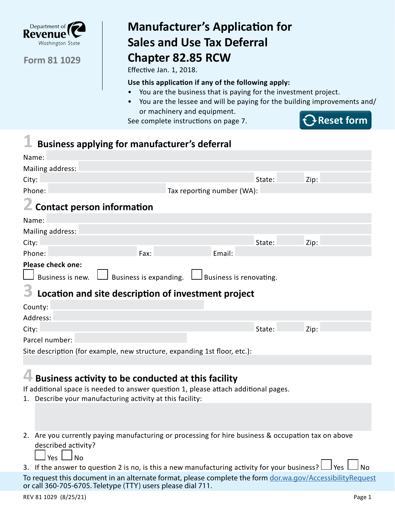

# **Manufacturer's Application for Sales and Use Tax Deferral Chapter 82.85 RCW**

Effective Jan. 1, 2018.

#### **Use this application if any of the following apply:**

- You are the business that is paying for the investment project.
- You are the lessee and will be paying for the building improvements and/ or machinery and equipment.

See complete instructions on page 7.



## **1 Business applying for manufacturer's deferral**

| Name:                                                                                                                                                    |                            |      |  |  |  |
|----------------------------------------------------------------------------------------------------------------------------------------------------------|----------------------------|------|--|--|--|
| Mailing address:                                                                                                                                         |                            |      |  |  |  |
| City:                                                                                                                                                    | State:                     | Zip: |  |  |  |
| Phone:                                                                                                                                                   | Tax reporting number (WA): |      |  |  |  |
| <b>Contact person information</b>                                                                                                                        |                            |      |  |  |  |
| Name:                                                                                                                                                    |                            |      |  |  |  |
| Mailing address:                                                                                                                                         |                            |      |  |  |  |
| City:                                                                                                                                                    | State:                     | Zip: |  |  |  |
| Phone:<br>Fax:                                                                                                                                           | Email:                     |      |  |  |  |
| <b>Please check one:</b><br>Business is expanding.<br>Business is new.<br>Business is renovating.<br>Location and site description of investment project |                            |      |  |  |  |
| County:                                                                                                                                                  |                            |      |  |  |  |
| Address:                                                                                                                                                 |                            |      |  |  |  |
| City:                                                                                                                                                    | State:                     | Zip: |  |  |  |
| Parcel number:                                                                                                                                           |                            |      |  |  |  |
| Site description (for example, new structure, expanding 1st floor, etc.):                                                                                |                            |      |  |  |  |

## **4 Business activity to be conducted at this facility**

If additional space is needed to answer question 1, please attach additional pages.

- 1. Describe your manufacturing activity at this facility:
- 2. Are you currently paying manufacturing or processing for hire business & occupation tax on above described activity?

 $\Box$  Yes  $\Box$  No

3. If the answer to question 2 is no, is this a new manufacturing activity for your business?  $\Box$  Yes  $\Box$  No

To request this document in an alternate format, please complete the form dor.wa.gov/AccessibilityRequest or call 360-705-6705. Teletype (TTY) users please dial 711.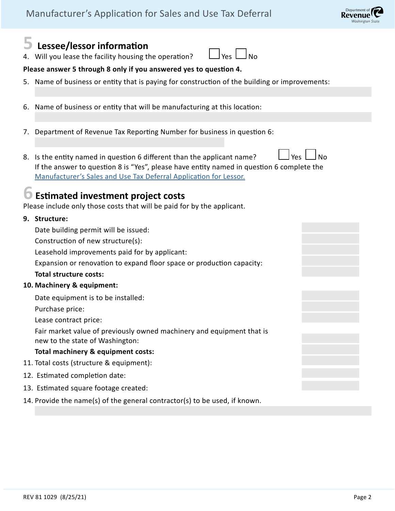

|                       | $\overline{\mathbf{5}}$ Lessee/lessor information<br>4. Will you lease the facility housing the operation?<br>Yes I                                                                                                                                             |  |  |  |  |  |
|-----------------------|-----------------------------------------------------------------------------------------------------------------------------------------------------------------------------------------------------------------------------------------------------------------|--|--|--|--|--|
|                       | Please answer 5 through 8 only if you answered yes to question 4.                                                                                                                                                                                               |  |  |  |  |  |
|                       | 5. Name of business or entity that is paying for construction of the building or improvements:                                                                                                                                                                  |  |  |  |  |  |
|                       |                                                                                                                                                                                                                                                                 |  |  |  |  |  |
|                       | 6. Name of business or entity that will be manufacturing at this location:                                                                                                                                                                                      |  |  |  |  |  |
|                       | 7. Department of Revenue Tax Reporting Number for business in question 6:                                                                                                                                                                                       |  |  |  |  |  |
|                       | 8. Is the entity named in question 6 different than the applicant name?<br><b>Yes</b><br>l No<br>If the answer to question 8 is "Yes", please have entity named in question 6 complete the<br>Manufacturer's Sales and Use Tax Deferral Application for Lessor. |  |  |  |  |  |
|                       | <b>D</b> Estimated investment project costs<br>Please include only those costs that will be paid for by the applicant.                                                                                                                                          |  |  |  |  |  |
|                       | 9. Structure:                                                                                                                                                                                                                                                   |  |  |  |  |  |
|                       | Date building permit will be issued:                                                                                                                                                                                                                            |  |  |  |  |  |
|                       | Construction of new structure(s):                                                                                                                                                                                                                               |  |  |  |  |  |
|                       | Leasehold improvements paid for by applicant:                                                                                                                                                                                                                   |  |  |  |  |  |
|                       | Expansion or renovation to expand floor space or production capacity:                                                                                                                                                                                           |  |  |  |  |  |
|                       | <b>Total structure costs:</b>                                                                                                                                                                                                                                   |  |  |  |  |  |
|                       | 10. Machinery & equipment:                                                                                                                                                                                                                                      |  |  |  |  |  |
|                       | Date equipment is to be installed:                                                                                                                                                                                                                              |  |  |  |  |  |
|                       | Purchase price:                                                                                                                                                                                                                                                 |  |  |  |  |  |
| Lease contract price: |                                                                                                                                                                                                                                                                 |  |  |  |  |  |
|                       | Fair market value of previously owned machinery and equipment that is<br>new to the state of Washington:                                                                                                                                                        |  |  |  |  |  |
|                       | Total machinery & equipment costs:                                                                                                                                                                                                                              |  |  |  |  |  |
|                       | 11. Total costs (structure & equipment):                                                                                                                                                                                                                        |  |  |  |  |  |
|                       | 12. Estimated completion date:                                                                                                                                                                                                                                  |  |  |  |  |  |
|                       | 13. Estimated square footage created:                                                                                                                                                                                                                           |  |  |  |  |  |
|                       | 14. Provide the name(s) of the general contractor(s) to be used, if known.                                                                                                                                                                                      |  |  |  |  |  |
|                       |                                                                                                                                                                                                                                                                 |  |  |  |  |  |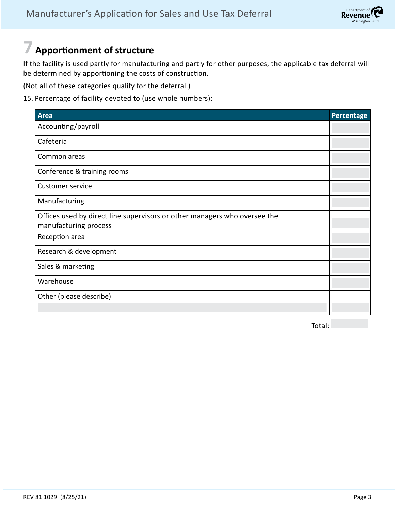## **7 Apportionment of structure**

If the facility is used partly for manufacturing and partly for other purposes, the applicable tax deferral will be determined by apportioning the costs of construction.

(Not all of these categories qualify for the deferral.)

15. Percentage of facility devoted to (use whole numbers):

| <b>Area</b>                                                                                        | Percentage |
|----------------------------------------------------------------------------------------------------|------------|
| Accounting/payroll                                                                                 |            |
| Cafeteria                                                                                          |            |
| Common areas                                                                                       |            |
| Conference & training rooms                                                                        |            |
| <b>Customer service</b>                                                                            |            |
| Manufacturing                                                                                      |            |
| Offices used by direct line supervisors or other managers who oversee the<br>manufacturing process |            |
| Reception area                                                                                     |            |
| Research & development                                                                             |            |
| Sales & marketing                                                                                  |            |
| Warehouse                                                                                          |            |
| Other (please describe)                                                                            |            |
|                                                                                                    |            |

Total: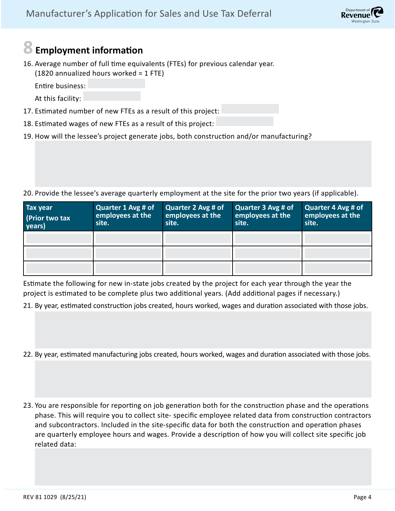## **8 Employment information**

16. Average number of full time equivalents (FTEs) for previous calendar year. (1820 annualized hours worked = 1 FTE)

Entire business:

At this facility:

- 17. Estimated number of new FTEs as a result of this project:
- 18. Estimated wages of new FTEs as a result of this project:
- 19. How will the lessee's project generate jobs, both construction and/or manufacturing?

20. Provide the lessee's average quarterly employment at the site for the prior two years (if applicable).

| <b>Tax year</b><br>(Prior two tax<br>years) | Quarter 1 Avg # of<br>employees at the<br>site. | Quarter 2 Avg # of<br>employees at the<br>site. | Quarter 3 Avg # of<br>employees at the<br>site. | Quarter 4 Avg # of<br>employees at the<br>site. |
|---------------------------------------------|-------------------------------------------------|-------------------------------------------------|-------------------------------------------------|-------------------------------------------------|
|                                             |                                                 |                                                 |                                                 |                                                 |
|                                             |                                                 |                                                 |                                                 |                                                 |
|                                             |                                                 |                                                 |                                                 |                                                 |

Estimate the following for new in-state jobs created by the project for each year through the year the project is estimated to be complete plus two additional years. (Add additional pages if necessary.)

21. By year, estimated construction jobs created, hours worked, wages and duration associated with those jobs.

- 22. By year, estimated manufacturing jobs created, hours worked, wages and duration associated with those jobs.
- 23. You are responsible for reporting on job generation both for the construction phase and the operations phase. This will require you to collect site- specific employee related data from construction contractors and subcontractors. Included in the site-specific data for both the construction and operation phases are quarterly employee hours and wages. Provide a description of how you will collect site specific job related data: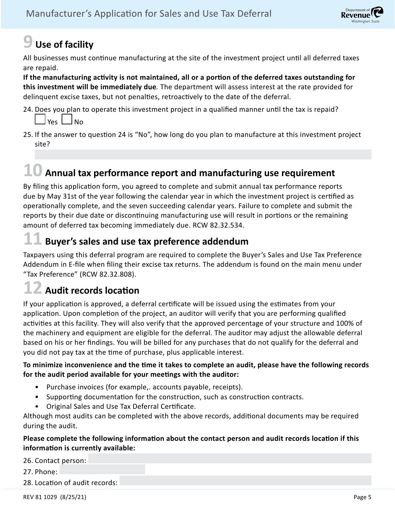

# **9 Use of facility**

All businesses must continue manufacturing at the site of the investment project until all deferred taxes are repaid.

**If the manufacturing activity is not maintained, all or a portion of the deferred taxes outstanding for this investment will be immediately due***.* The department will assess interest at the rate provided for delinquent excise taxes, but not penalties, retroactively to the date of the deferral.

- 24. Does you plan to operate this investment project in a qualified manner until the tax is repaid?  $Yes \Box No$
- 25. If the answer to question 24 is "No", how long do you plan to manufacture at this investment project site?

# **10 Annual tax performance report and manufacturing use requirement**

By filing this application form, you agreed to complete and submit annual tax performance reports due by May 31st of the year following the calendar year in which the investment project is certified as operationally complete, and the seven succeeding calendar years. Failure to complete and submit the reports by their due date or discontinuing manufacturing use will result in portions or the remaining amount of deferred tax becoming immediately due. RCW 82.32.534.

## **11 Buyer's sales and use tax preference addendum**

Taxpayers using this deferral program are required to complete the Buyer's Sales and Use Tax Preference Addendum in E-file when filing their excise tax returns. The addendum is found on the main menu under "Tax Preference" (RCW 82.32.808).

## **12 Audit records location**

If your application is approved, a deferral certificate will be issued using the estimates from your application. Upon completion of the project, an auditor will verify that you are performing qualified activities at this facility. They will also verify that the approved percentage of your structure and 100% of the machinery and equipment are eligible for the deferral. The auditor may adjust the allowable deferral based on his or her findings. You will be billed for any purchases that do not qualify for the deferral and you did not pay tax at the time of purchase, plus applicable interest.

#### **To minimize inconvenience and the time it takes to complete an audit, please have the following records for the audit period available for your meetings with the auditor:**

- Purchase invoices (for example,. accounts payable, receipts).
- Supporting documentation for the construction, such as construction contracts.
- Original Sales and Use Tax Deferral Certificate.

Although most audits can be completed with the above records, additional documents may be required during the audit.

#### **Please complete the following information about the contact person and audit records location if this information is currently available:**

26. Contact person:

27. Phone:

28. Location of audit records:

REV 81 1029 (8/25/21) Page 5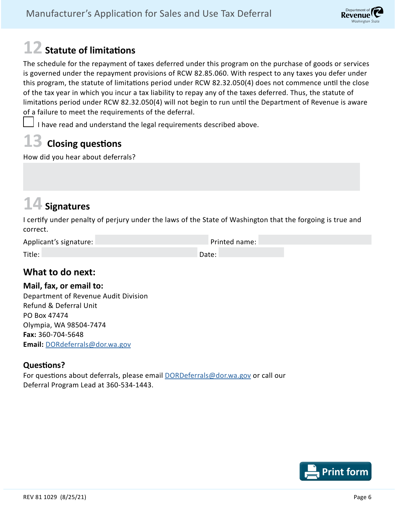# Department of (Revenue

# **12 Statute of limitations**

The schedule for the repayment of taxes deferred under this program on the purchase of goods or services is governed under the repayment provisions of RCW 82.85.060. With respect to any taxes you defer under this program, the statute of limitations period under RCW 82.32.050(4) does not commence until the close of the tax year in which you incur a tax liability to repay any of the taxes deferred. Thus, the statute of limitations period under RCW 82.32.050(4) will not begin to run until the Department of Revenue is aware of a failure to meet the requirements of the deferral.

I have read and understand the legal requirements described above.

# **13 Closing questions**

How did you hear about deferrals?

# **14 Signatures**

I certify under penalty of perjury under the laws of the State of Washington that the forgoing is true and correct.

| Applicant's signature: | Printed name: |
|------------------------|---------------|
|                        |               |
| Title:                 | Date:         |

### **What to do next:**

#### **Mail, fax, or email to:**

Department of Revenue Audit Division Refund & Deferral Unit PO Box 47474 Olympia, WA 98504-7474 **Fax:** 360-704-5648 **Email:** [DORdeferrals@dor.wa.gov](mailto:DORdeferrals%40dor.wa.gov?subject=)

### **Questions?**

For questions about deferrals, please email [DORDeferrals@dor.wa.gov](mailto:DORDeferrals%40dor.wa.gov?subject=) or call our Deferral Program Lead at 360-534-1443.

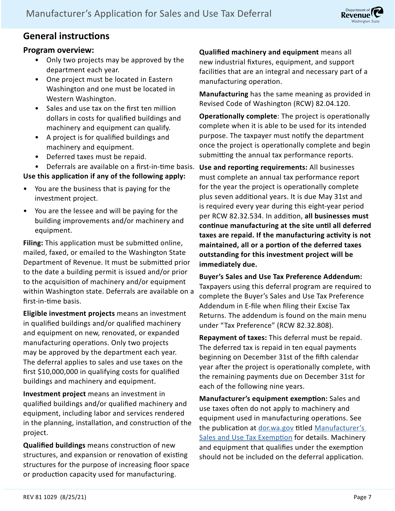

## **General instructions**

### **Program overview:**

- Only two projects may be approved by the department each year.
- One project must be located in Eastern Washington and one must be located in Western Washington.
- Sales and use tax on the first ten million dollars in costs for qualified buildings and machinery and equipment can qualify.
- A project is for qualified buildings and machinery and equipment.
- Deferred taxes must be repaid.
- Deferrals are available on a first-in-time basis.

### **Use this application if any of the following apply:**

- You are the business that is paying for the investment project.
- You are the lessee and will be paying for the building improvements and/or machinery and equipment.

**Filing:** This application must be submitted online, mailed, faxed, or emailed to the Washington State Department of Revenue. It must be submitted prior to the date a building permit is issued and/or prior to the acquisition of machinery and/or equipment within Washington state. Deferrals are available on a first-in-time basis.

**Eligible investment projects** means an investment in qualified buildings and/or qualified machinery and equipment on new, renovated, or expanded manufacturing operations. Only two projects may be approved by the department each year. The deferral applies to sales and use taxes on the first \$10,000,000 in qualifying costs for qualified buildings and machinery and equipment.

**Investment project** means an investment in qualified buildings and/or qualified machinery and equipment, including labor and services rendered in the planning, installation, and construction of the project.

**Qualified buildings** means construction of new structures, and expansion or renovation of existing structures for the purpose of increasing floor space or production capacity used for manufacturing.

**Qualified machinery and equipment** means all new industrial fixtures, equipment, and support facilities that are an integral and necessary part of a manufacturing operation.

**Manufacturing** has the same meaning as provided in Revised Code of Washington (RCW) 82.04.120.

**Operationally complete**: The project is operationally complete when it is able to be used for its intended purpose. The taxpayer must notify the department once the project is operationally complete and begin submitting the annual tax performance reports.

**Use and reporting requirements:** All businesses must complete an annual tax performance report for the year the project is operationally complete plus seven additional years. It is due May 31st and is required every year during this eight-year period per RCW 82.32.534. In addition, **all businesses must continue manufacturing at the site until all deferred taxes are repaid. If the manufacturing activity is not maintained, all or a portion of the deferred taxes outstanding for this investment project will be immediately due.**

**Buyer's Sales and Use Tax Preference Addendum:**  Taxpayers using this deferral program are required to complete the Buyer's Sales and Use Tax Preference Addendum in E-file when filing their Excise Tax Returns. The addendum is found on the main menu under "Tax Preference" (RCW 82.32.808).

**Repayment of taxes:** This deferral must be repaid. The deferred tax is repaid in ten equal payments beginning on December 31st of the fifth calendar year after the project is operationally complete, with the remaining payments due on December 31st for each of the following nine years.

**Manufacturer's equipment exemption:** Sales and use taxes often do not apply to machinery and equipment used in manufacturing operations. See the publication at [dor.wa.gov](http://dor.wa.gov) titled Manufacturer's [Sales and Use Tax Exemption](https://dor.wa.gov/sites/default/files/legacy/Docs/Pubs/ExciseTax/IncentProgs/MfgUseTax.pdf) for details. Machinery and equipment that qualifies under the exemption should not be included on the deferral application.